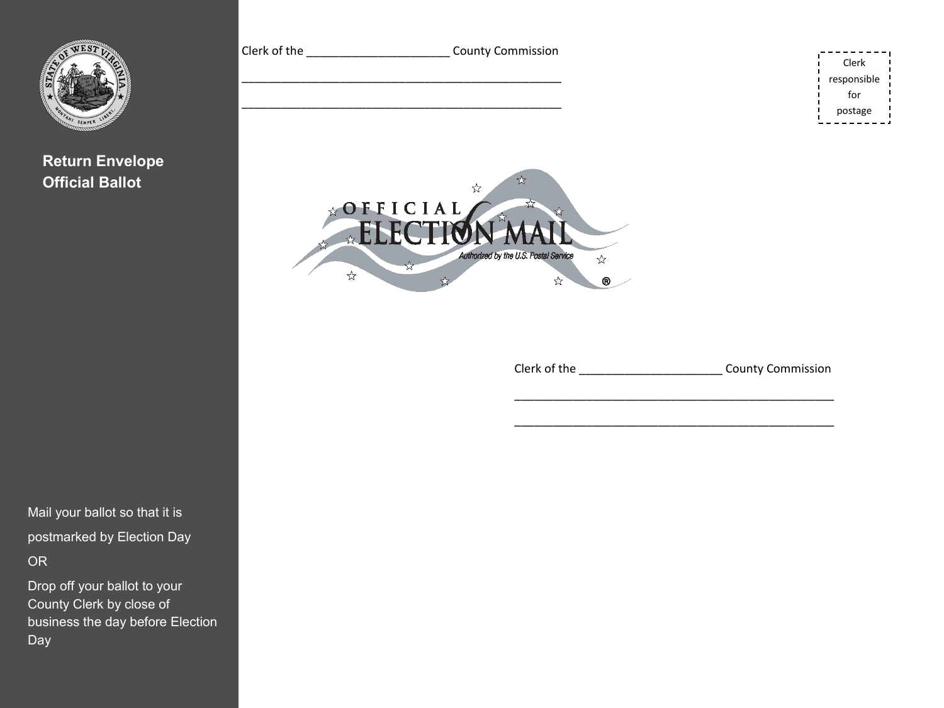

**Return Envelope Official Ballot** 

Mail your ballot so that it is postmarked by Election Day OR

Drop off your ballot to your County Clerk by close of business the day before Election Day



Clerk of the **County Commission** 

Clerk responsible for postage

\_\_\_\_\_\_\_\_\_\_\_\_\_\_\_\_\_\_\_\_\_\_\_\_\_\_\_\_\_\_\_\_\_\_\_\_\_\_\_\_\_\_\_\_\_\_\_\_\_

\_\_\_\_\_\_\_\_\_\_\_\_\_\_\_\_\_\_\_\_\_\_\_\_\_\_\_\_\_\_\_\_\_\_\_\_\_\_\_\_\_\_\_\_\_\_\_\_\_